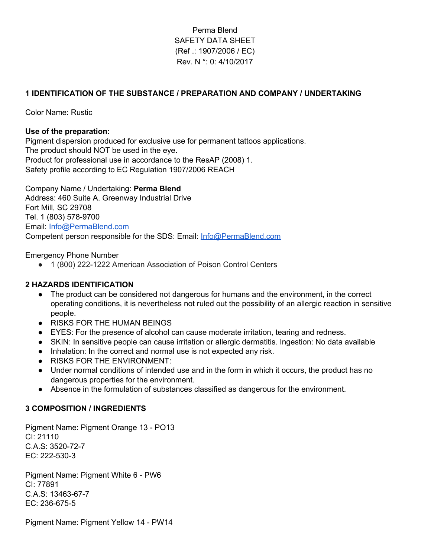# Perma Blend SAFETY DATA SHEET (Ref .: 1907/2006 / EC) Rev. N °: 0: 4/10/2017

## **1 IDENTIFICATION OF THE SUBSTANCE / PREPARATION AND COMPANY / UNDERTAKING**

Color Name: Rustic

### **Use of the preparation:**

Pigment dispersion produced for exclusive use for permanent tattoos applications. The product should NOT be used in the eye. Product for professional use in accordance to the ResAP (2008) 1. Safety profile according to EC Regulation 1907/2006 REACH

Company Name / Undertaking: **Perma Blend** Address: 460 Suite A. Greenway Industrial Drive Fort Mill, SC 29708 Tel. 1 (803) 578-9700 Email: [Info@PermaBlend.com](mailto:Info@PermaBlend.com) Competent person responsible for the SDS: Email: [Info@PermaBlend.com](mailto:Info@PermaBlend.com)

#### Emergency Phone Number

● 1 (800) 222-1222 American Association of Poison Control Centers

#### **2 HAZARDS IDENTIFICATION**

- The product can be considered not dangerous for humans and the environment, in the correct operating conditions, it is nevertheless not ruled out the possibility of an allergic reaction in sensitive people.
- RISKS FOR THE HUMAN BEINGS
- EYES: For the presence of alcohol can cause moderate irritation, tearing and redness.
- SKIN: In sensitive people can cause irritation or allergic dermatitis. Ingestion: No data available
- Inhalation: In the correct and normal use is not expected any risk.
- RISKS FOR THE ENVIRONMENT:
- Under normal conditions of intended use and in the form in which it occurs, the product has no dangerous properties for the environment.
- Absence in the formulation of substances classified as dangerous for the environment.

#### **3 COMPOSITION / INGREDIENTS**

Pigment Name: Pigment Orange 13 - PO13 CI: 21110 C.A.S: 3520-72-7 EC: 222-530-3

Pigment Name: Pigment White 6 - PW6 CI: 77891 C.A.S: 13463-67-7 EC: 236-675-5

Pigment Name: Pigment Yellow 14 - PW14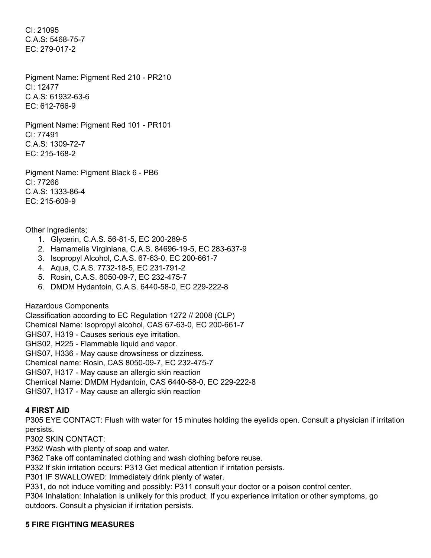CI: 21095 C.A.S: 5468-75-7 EC: 279-017-2

Pigment Name: Pigment Red 210 - PR210 CI: 12477 C.A.S: 61932-63-6 EC: 612-766-9

Pigment Name: Pigment Red 101 - PR101 CI: 77491 C.A.S: 1309-72-7 EC: 215-168-2

Pigment Name: Pigment Black 6 - PB6 CI: 77266 C.A.S: 1333-86-4 EC: 215-609-9

Other Ingredients;

- 1. Glycerin, C.A.S. 56-81-5, EC 200-289-5
- 2. Hamamelis Virginiana, C.A.S. 84696-19-5, EC 283-637-9
- 3. Isopropyl Alcohol, C.A.S. 67-63-0, EC 200-661-7
- 4. Aqua, C.A.S. 7732-18-5, EC 231-791-2
- 5. Rosin, C.A.S. 8050-09-7, EC 232-475-7
- 6. DMDM Hydantoin, C.A.S. 6440-58-0, EC 229-222-8

Hazardous Components

Classification according to EC Regulation 1272 // 2008 (CLP) Chemical Name: Isopropyl alcohol, CAS 67-63-0, EC 200-661-7 GHS07, H319 - Causes serious eye irritation. GHS02, H225 - Flammable liquid and vapor. GHS07, H336 - May cause drowsiness or dizziness. Chemical name: Rosin, CAS 8050-09-7, EC 232-475-7 GHS07, H317 - May cause an allergic skin reaction Chemical Name: DMDM Hydantoin, CAS 6440-58-0, EC 229-222-8 GHS07, H317 - May cause an allergic skin reaction

# **4 FIRST AID**

P305 EYE CONTACT: Flush with water for 15 minutes holding the eyelids open. Consult a physician if irritation persists.

P302 SKIN CONTACT:

P352 Wash with plenty of soap and water.

P362 Take off contaminated clothing and wash clothing before reuse.

P332 If skin irritation occurs: P313 Get medical attention if irritation persists.

P301 IF SWALLOWED: Immediately drink plenty of water.

P331, do not induce vomiting and possibly: P311 consult your doctor or a poison control center.

P304 Inhalation: Inhalation is unlikely for this product. If you experience irritation or other symptoms, go outdoors. Consult a physician if irritation persists.

### **5 FIRE FIGHTING MEASURES**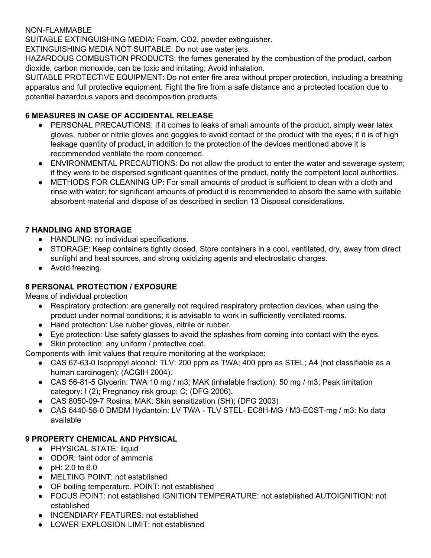## NON-FLAMMABLE

SUITABLE EXTINGUISHING MEDIA: Foam, CO2, powder extinguisher.

EXTINGUISHING MEDIA NOT SUITABLE: Do not use water jets.

HAZARDOUS COMBUSTION PRODUCTS: the fumes generated by the combustion of the product, carbon dioxide, carbon monoxide, can be toxic and irritating; Avoid inhalation.

SUITABLE PROTECTIVE EQUIPMENT: Do not enter fire area without proper protection, including a breathing apparatus and full protective equipment. Fight the fire from a safe distance and a protected location due to potential hazardous vapors and decomposition products.

# **6 MEASURES IN CASE OF ACCIDENTAL RELEASE**

- PERSONAL PRECAUTIONS: If it comes to leaks of small amounts of the product, simply wear latex gloves, rubber or nitrile gloves and goggles to avoid contact of the product with the eyes; if it is of high leakage quantity of product, in addition to the protection of the devices mentioned above it is recommended ventilate the room concerned.
- ENVIRONMENTAL PRECAUTIONS: Do not allow the product to enter the water and sewerage system; if they were to be dispersed significant quantities of the product, notify the competent local authorities.
- METHODS FOR CLEANING UP: For small amounts of product is sufficient to clean with a cloth and rinse with water; for significant amounts of product it is recommended to absorb the same with suitable absorbent material and dispose of as described in section 13 Disposal considerations.

# **7 HANDLING AND STORAGE**

- HANDLING: no individual specifications.
- STORAGE: Keep containers tightly closed. Store containers in a cool, ventilated, dry, away from direct sunlight and heat sources, and strong oxidizing agents and electrostatic charges.
- Avoid freezing.

# **8 PERSONAL PROTECTION / EXPOSURE**

Means of individual protection

- Respiratory protection: are generally not required respiratory protection devices, when using the product under normal conditions; it is advisable to work in sufficiently ventilated rooms.
- Hand protection: Use rubber gloves, nitrile or rubber.
- Eye protection: Use safety glasses to avoid the splashes from coming into contact with the eyes.
- Skin protection: any uniform / protective coat.

Components with limit values that require monitoring at the workplace:

- CAS 67-63-0 Isopropyl alcohol: TLV: 200 ppm as TWA; 400 ppm as STEL; A4 (not classifiable as a human carcinogen); (ACGIH 2004).
- CAS 56-81-5 Glycerin: TWA 10 mg / m3; MAK (inhalable fraction): 50 mg / m3; Peak limitation category: I (2); Pregnancy risk group: C; (DFG 2006).
- CAS 8050-09-7 Rosina: MAK: Skin sensitization (SH); (DFG 2003)
- CAS 6440-58-0 DMDM Hydantoin: LV TWA TLV STEL- EC8H-MG / M3-ECST-mg / m3: No data available

# **9 PROPERTY CHEMICAL AND PHYSICAL**

- PHYSICAL STATE: liquid
- ODOR: faint odor of ammonia
- pH: 2.0 to 6.0
- MELTING POINT: not established
- OF boiling temperature, POINT: not established
- FOCUS POINT: not established IGNITION TEMPERATURE: not established AUTOIGNITION: not established
- INCENDIARY FEATURES: not established
- LOWER EXPLOSION LIMIT: not established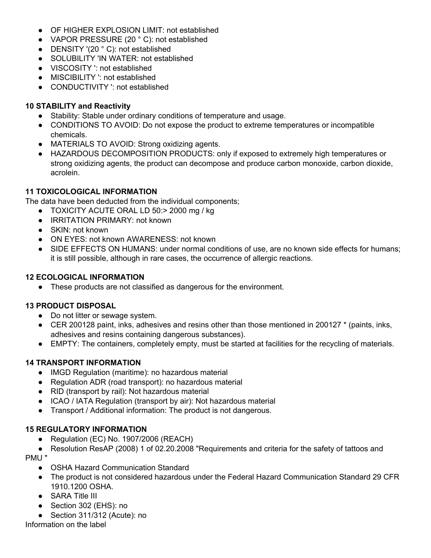- OF HIGHER EXPLOSION LIMIT: not established
- VAPOR PRESSURE (20 °C): not established
- DENSITY '(20 °C): not established
- SOLUBILITY 'IN WATER: not established
- VISCOSITY ': not established
- MISCIBILITY ': not established
- CONDUCTIVITY ': not established

## **10 STABILITY and Reactivity**

- Stability: Stable under ordinary conditions of temperature and usage.
- CONDITIONS TO AVOID: Do not expose the product to extreme temperatures or incompatible chemicals.
- MATERIALS TO AVOID: Strong oxidizing agents.
- HAZARDOUS DECOMPOSITION PRODUCTS: only if exposed to extremely high temperatures or strong oxidizing agents, the product can decompose and produce carbon monoxide, carbon dioxide, acrolein.

## **11 TOXICOLOGICAL INFORMATION**

The data have been deducted from the individual components;

- TOXICITY ACUTE ORAL LD 50:> 2000 mg / kg
- IRRITATION PRIMARY: not known
- SKIN: not known
- ON EYES: not known AWARENESS: not known
- SIDE EFFECTS ON HUMANS: under normal conditions of use, are no known side effects for humans: it is still possible, although in rare cases, the occurrence of allergic reactions.

### **12 ECOLOGICAL INFORMATION**

● These products are not classified as dangerous for the environment.

### **13 PRODUCT DISPOSAL**

- Do not litter or sewage system.
- CER 200128 paint, inks, adhesives and resins other than those mentioned in 200127 \* (paints, inks, adhesives and resins containing dangerous substances).
- EMPTY: The containers, completely empty, must be started at facilities for the recycling of materials.

### **14 TRANSPORT INFORMATION**

- IMGD Regulation (maritime): no hazardous material
- Regulation ADR (road transport): no hazardous material
- RID (transport by rail): Not hazardous material
- ICAO / IATA Regulation (transport by air): Not hazardous material
- Transport / Additional information: The product is not dangerous.

### **15 REGULATORY INFORMATION**

- Regulation (EC) No. 1907/2006 (REACH)
- Resolution ResAP (2008) 1 of 02.20.2008 "Requirements and criteria for the safety of tattoos and PMU "
	- OSHA Hazard Communication Standard
	- The product is not considered hazardous under the Federal Hazard Communication Standard 29 CFR 1910.1200 OSHA.
	- SARA Title III
	- Section 302 (EHS): no
	- Section 311/312 (Acute): no

Information on the label